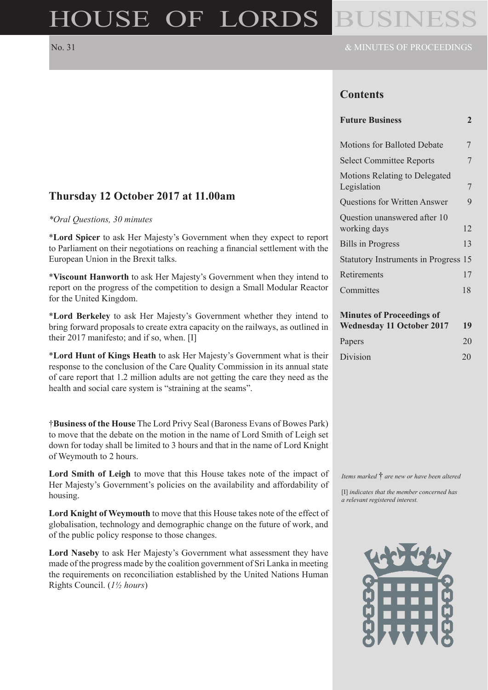# HOUSE OF LORDS

## No. 31 & MINUTES OF PROCEEDINGS

# **Contents**

| <b>Future Business</b> |  |
|------------------------|--|
|------------------------|--|

| <b>Motions for Balloted Debate</b>                                         | 7  |  |
|----------------------------------------------------------------------------|----|--|
| <b>Select Committee Reports</b>                                            | 7  |  |
| <b>Motions Relating to Delegated</b><br>Legislation                        | 7  |  |
| <b>Questions for Written Answer</b>                                        | 9  |  |
| Question unanswered after 10<br>working days                               | 12 |  |
| <b>Bills in Progress</b>                                                   | 13 |  |
| Statutory Instruments in Progress 15                                       |    |  |
| Retirements                                                                | 17 |  |
| Committes                                                                  | 18 |  |
| <b>Minutes of Proceedings of</b><br><b>Wednesday 11 October 2017</b><br>19 |    |  |

Papers 20 Division 20

# **Thursday 12 October 2017 at 11.00am**

#### *\*Oral Questions, 30 minutes*

\***Lord Spicer** to ask Her Majesty's Government when they expect to report to Parliament on their negotiations on reaching a financial settlement with the European Union in the Brexit talks.

\***Viscount Hanworth** to ask Her Majesty's Government when they intend to report on the progress of the competition to design a Small Modular Reactor for the United Kingdom.

\***Lord Berkeley** to ask Her Majesty's Government whether they intend to bring forward proposals to create extra capacity on the railways, as outlined in their 2017 manifesto; and if so, when. [I]

\***Lord Hunt of Kings Heath** to ask Her Majesty's Government what is their response to the conclusion of the Care Quality Commission in its annual state of care report that 1.2 million adults are not getting the care they need as the health and social care system is "straining at the seams".

†**Business of the House** The Lord Privy Seal (Baroness Evans of Bowes Park) to move that the debate on the motion in the name of Lord Smith of Leigh set down for today shall be limited to 3 hours and that in the name of Lord Knight of Weymouth to 2 hours.

**Lord Smith of Leigh** to move that this House takes note of the impact of Her Majesty's Government's policies on the availability and affordability of housing.

**Lord Knight of Weymouth** to move that this House takes note of the effect of globalisation, technology and demographic change on the future of work, and of the public policy response to those changes.

**Lord Naseby** to ask Her Majesty's Government what assessment they have made of the progress made by the coalition government of Sri Lanka in meeting the requirements on reconciliation established by the United Nations Human Rights Council. (*1½ hours*)

*Items marked* † *are new or have been altered*

[I] *indicates that the member concerned has a relevant registered interest.*

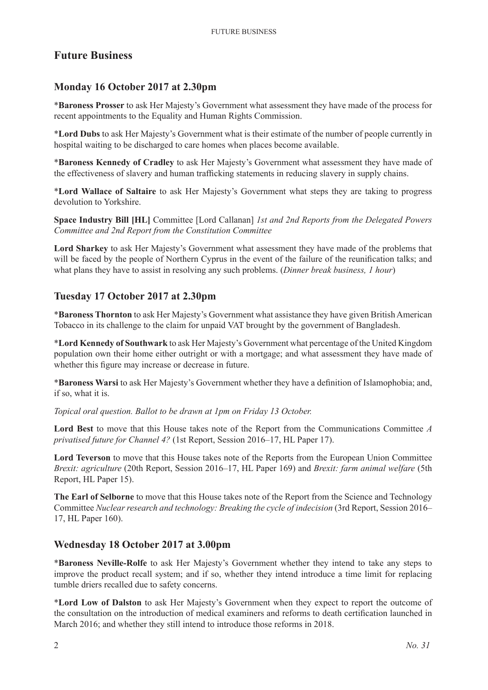# **Future Business**

# **Monday 16 October 2017 at 2.30pm**

\***Baroness Prosser** to ask Her Majesty's Government what assessment they have made of the process for recent appointments to the Equality and Human Rights Commission.

\***Lord Dubs** to ask Her Majesty's Government what is their estimate of the number of people currently in hospital waiting to be discharged to care homes when places become available.

\***Baroness Kennedy of Cradley** to ask Her Majesty's Government what assessment they have made of the effectiveness of slavery and human trafficking statements in reducing slavery in supply chains.

\***Lord Wallace of Saltaire** to ask Her Majesty's Government what steps they are taking to progress devolution to Yorkshire.

**Space Industry Bill [HL]** Committee [Lord Callanan] *1st and 2nd Reports from the Delegated Powers Committee and 2nd Report from the Constitution Committee*

**Lord Sharkey** to ask Her Majesty's Government what assessment they have made of the problems that will be faced by the people of Northern Cyprus in the event of the failure of the reunification talks; and what plans they have to assist in resolving any such problems. (*Dinner break business, 1 hour*)

# **Tuesday 17 October 2017 at 2.30pm**

\***Baroness Thornton** to ask Her Majesty's Government what assistance they have given British American Tobacco in its challenge to the claim for unpaid VAT brought by the government of Bangladesh.

\***Lord Kennedy of Southwark** to ask Her Majesty's Government what percentage of the United Kingdom population own their home either outright or with a mortgage; and what assessment they have made of whether this figure may increase or decrease in future.

\***Baroness Warsi** to ask Her Majesty's Government whether they have a definition of Islamophobia; and, if so, what it is.

*Topical oral question. Ballot to be drawn at 1pm on Friday 13 October.*

**Lord Best** to move that this House takes note of the Report from the Communications Committee *A privatised future for Channel 4?* (1st Report, Session 2016–17, HL Paper 17).

**Lord Teverson** to move that this House takes note of the Reports from the European Union Committee *Brexit: agriculture* (20th Report, Session 2016–17, HL Paper 169) and *Brexit: farm animal welfare* (5th Report, HL Paper 15).

**The Earl of Selborne** to move that this House takes note of the Report from the Science and Technology Committee *Nuclear research and technology: Breaking the cycle of indecision* (3rd Report, Session 2016– 17, HL Paper 160).

# **Wednesday 18 October 2017 at 3.00pm**

\***Baroness Neville-Rolfe** to ask Her Majesty's Government whether they intend to take any steps to improve the product recall system; and if so, whether they intend introduce a time limit for replacing tumble driers recalled due to safety concerns.

\***Lord Low of Dalston** to ask Her Majesty's Government when they expect to report the outcome of the consultation on the introduction of medical examiners and reforms to death certification launched in March 2016; and whether they still intend to introduce those reforms in 2018.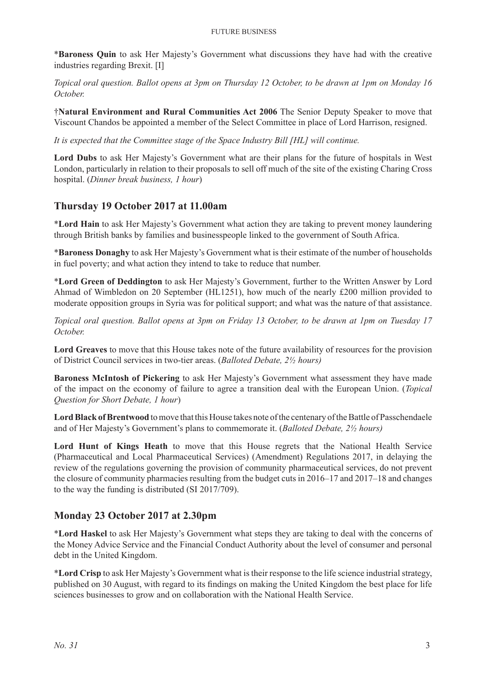\***Baroness Quin** to ask Her Majesty's Government what discussions they have had with the creative industries regarding Brexit. [I]

*Topical oral question. Ballot opens at 3pm on Thursday 12 October, to be drawn at 1pm on Monday 16 October.*

†**Natural Environment and Rural Communities Act 2006** The Senior Deputy Speaker to move that Viscount Chandos be appointed a member of the Select Committee in place of Lord Harrison, resigned.

*It is expected that the Committee stage of the Space Industry Bill [HL] will continue.*

**Lord Dubs** to ask Her Majesty's Government what are their plans for the future of hospitals in West London, particularly in relation to their proposals to sell off much of the site of the existing Charing Cross hospital. (*Dinner break business, 1 hour*)

## **Thursday 19 October 2017 at 11.00am**

\***Lord Hain** to ask Her Majesty's Government what action they are taking to prevent money laundering through British banks by families and businesspeople linked to the government of South Africa.

\***Baroness Donaghy** to ask Her Majesty's Government what is their estimate of the number of households in fuel poverty; and what action they intend to take to reduce that number.

\***Lord Green of Deddington** to ask Her Majesty's Government, further to the Written Answer by Lord Ahmad of Wimbledon on 20 September (HL1251), how much of the nearly £200 million provided to moderate opposition groups in Syria was for political support; and what was the nature of that assistance.

*Topical oral question. Ballot opens at 3pm on Friday 13 October, to be drawn at 1pm on Tuesday 17 October.*

**Lord Greaves** to move that this House takes note of the future availability of resources for the provision of District Council services in two-tier areas. (*Balloted Debate, 2½ hours)*

**Baroness McIntosh of Pickering** to ask Her Majesty's Government what assessment they have made of the impact on the economy of failure to agree a transition deal with the European Union. (*Topical Question for Short Debate, 1 hour*)

**Lord Black of Brentwood** to move that this House takes note ofthe centenary of the Battle of Passchendaele and of Her Majesty's Government's plans to commemorate it. (*Balloted Debate, 2½ hours)*

**Lord Hunt of Kings Heath** to move that this House regrets that the National Health Service (Pharmaceutical and Local Pharmaceutical Services) (Amendment) Regulations 2017, in delaying the review of the regulations governing the provision of community pharmaceutical services, do not prevent the closure of community pharmacies resulting from the budget cuts in 2016–17 and 2017–18 and changes to the way the funding is distributed (SI 2017/709).

## **Monday 23 October 2017 at 2.30pm**

\***Lord Haskel** to ask Her Majesty's Government what steps they are taking to deal with the concerns of the Money Advice Service and the Financial Conduct Authority about the level of consumer and personal debt in the United Kingdom.

\***Lord Crisp** to ask Her Majesty's Government what is their response to the life science industrial strategy, published on 30 August, with regard to its findings on making the United Kingdom the best place for life sciences businesses to grow and on collaboration with the National Health Service.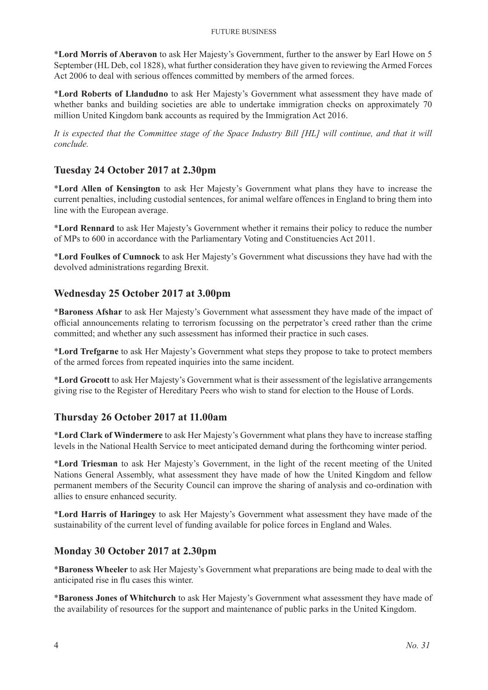\***Lord Morris of Aberavon** to ask Her Majesty's Government, further to the answer by Earl Howe on 5 September (HL Deb, col 1828), what further consideration they have given to reviewing the Armed Forces Act 2006 to deal with serious offences committed by members of the armed forces.

\***Lord Roberts of Llandudno** to ask Her Majesty's Government what assessment they have made of whether banks and building societies are able to undertake immigration checks on approximately 70 million United Kingdom bank accounts as required by the Immigration Act 2016.

*It is expected that the Committee stage of the Space Industry Bill [HL] will continue, and that it will conclude.*

# **Tuesday 24 October 2017 at 2.30pm**

\***Lord Allen of Kensington** to ask Her Majesty's Government what plans they have to increase the current penalties, including custodial sentences, for animal welfare offences in England to bring them into line with the European average.

\***Lord Rennard** to ask Her Majesty's Government whether it remains their policy to reduce the number of MPs to 600 in accordance with the Parliamentary Voting and Constituencies Act 2011.

\***Lord Foulkes of Cumnock** to ask Her Majesty's Government what discussions they have had with the devolved administrations regarding Brexit.

## **Wednesday 25 October 2017 at 3.00pm**

\***Baroness Afshar** to ask Her Majesty's Government what assessment they have made of the impact of official announcements relating to terrorism focussing on the perpetrator's creed rather than the crime committed; and whether any such assessment has informed their practice in such cases.

\***Lord Trefgarne** to ask Her Majesty's Government what steps they propose to take to protect members of the armed forces from repeated inquiries into the same incident.

\***Lord Grocott** to ask Her Majesty's Government what is their assessment of the legislative arrangements giving rise to the Register of Hereditary Peers who wish to stand for election to the House of Lords.

## **Thursday 26 October 2017 at 11.00am**

\***Lord Clark of Windermere** to ask Her Majesty's Government what plans they have to increase staffing levels in the National Health Service to meet anticipated demand during the forthcoming winter period.

\***Lord Triesman** to ask Her Majesty's Government, in the light of the recent meeting of the United Nations General Assembly, what assessment they have made of how the United Kingdom and fellow permanent members of the Security Council can improve the sharing of analysis and co-ordination with allies to ensure enhanced security.

\***Lord Harris of Haringey** to ask Her Majesty's Government what assessment they have made of the sustainability of the current level of funding available for police forces in England and Wales.

## **Monday 30 October 2017 at 2.30pm**

\***Baroness Wheeler** to ask Her Majesty's Government what preparations are being made to deal with the anticipated rise in flu cases this winter.

\***Baroness Jones of Whitchurch** to ask Her Majesty's Government what assessment they have made of the availability of resources for the support and maintenance of public parks in the United Kingdom.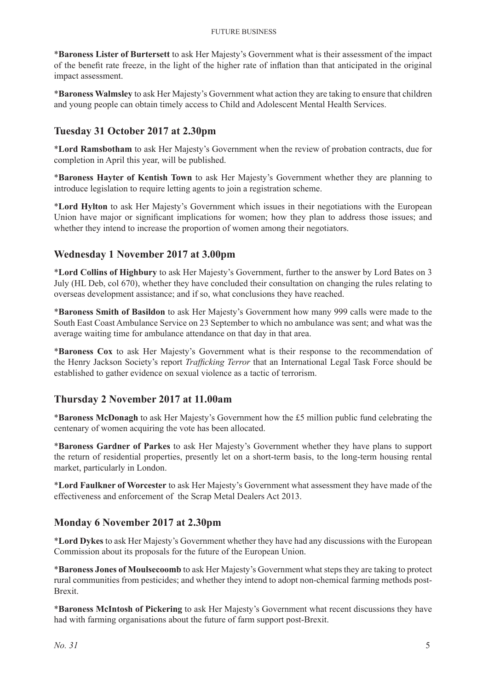\***Baroness Lister of Burtersett** to ask Her Majesty's Government what is their assessment of the impact of the benefit rate freeze, in the light of the higher rate of inflation than that anticipated in the original impact assessment.

\***Baroness Walmsley** to ask Her Majesty's Government what action they are taking to ensure that children and young people can obtain timely access to Child and Adolescent Mental Health Services.

# **Tuesday 31 October 2017 at 2.30pm**

\***Lord Ramsbotham** to ask Her Majesty's Government when the review of probation contracts, due for completion in April this year, will be published.

\***Baroness Hayter of Kentish Town** to ask Her Majesty's Government whether they are planning to introduce legislation to require letting agents to join a registration scheme.

\***Lord Hylton** to ask Her Majesty's Government which issues in their negotiations with the European Union have major or significant implications for women; how they plan to address those issues; and whether they intend to increase the proportion of women among their negotiators.

## **Wednesday 1 November 2017 at 3.00pm**

\***Lord Collins of Highbury** to ask Her Majesty's Government, further to the answer by Lord Bates on 3 July (HL Deb, col 670), whether they have concluded their consultation on changing the rules relating to overseas development assistance; and if so, what conclusions they have reached.

\***Baroness Smith of Basildon** to ask Her Majesty's Government how many 999 calls were made to the South East Coast Ambulance Service on 23 September to which no ambulance was sent; and what was the average waiting time for ambulance attendance on that day in that area.

\***Baroness Cox** to ask Her Majesty's Government what is their response to the recommendation of the Henry Jackson Society's report *Trafficking Terror* that an International Legal Task Force should be established to gather evidence on sexual violence as a tactic of terrorism.

## **Thursday 2 November 2017 at 11.00am**

\***Baroness McDonagh** to ask Her Majesty's Government how the £5 million public fund celebrating the centenary of women acquiring the vote has been allocated.

\***Baroness Gardner of Parkes** to ask Her Majesty's Government whether they have plans to support the return of residential properties, presently let on a short-term basis, to the long-term housing rental market, particularly in London.

\***Lord Faulkner of Worcester** to ask Her Majesty's Government what assessment they have made of the effectiveness and enforcement of the Scrap Metal Dealers Act 2013.

## **Monday 6 November 2017 at 2.30pm**

\***Lord Dykes** to ask Her Majesty's Government whether they have had any discussions with the European Commission about its proposals for the future of the European Union.

\***Baroness Jones of Moulsecoomb** to ask Her Majesty's Government what steps they are taking to protect rural communities from pesticides; and whether they intend to adopt non-chemical farming methods post-Brexit.

\***Baroness McIntosh of Pickering** to ask Her Majesty's Government what recent discussions they have had with farming organisations about the future of farm support post-Brexit.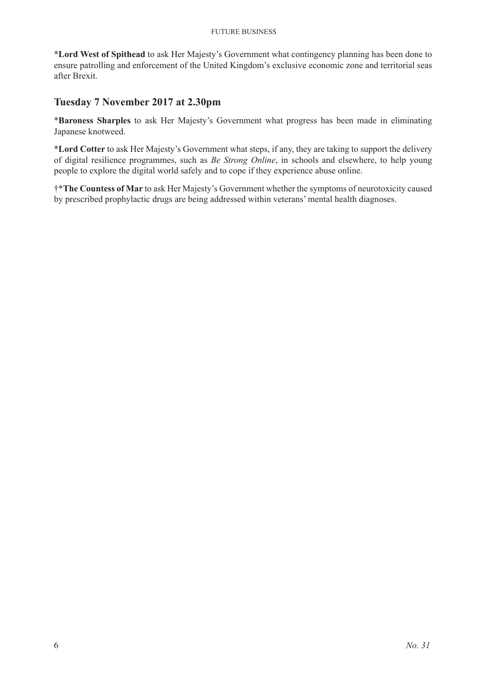#### Future Business

\***Lord West of Spithead** to ask Her Majesty's Government what contingency planning has been done to ensure patrolling and enforcement of the United Kingdom's exclusive economic zone and territorial seas after Brexit.

# **Tuesday 7 November 2017 at 2.30pm**

\***Baroness Sharples** to ask Her Majesty's Government what progress has been made in eliminating Japanese knotweed.

\***Lord Cotter** to ask Her Majesty's Government what steps, if any, they are taking to support the delivery of digital resilience programmes, such as *Be Strong Online*, in schools and elsewhere, to help young people to explore the digital world safely and to cope if they experience abuse online.

†\***The Countess of Mar** to ask Her Majesty's Government whether the symptoms of neurotoxicity caused by prescribed prophylactic drugs are being addressed within veterans' mental health diagnoses.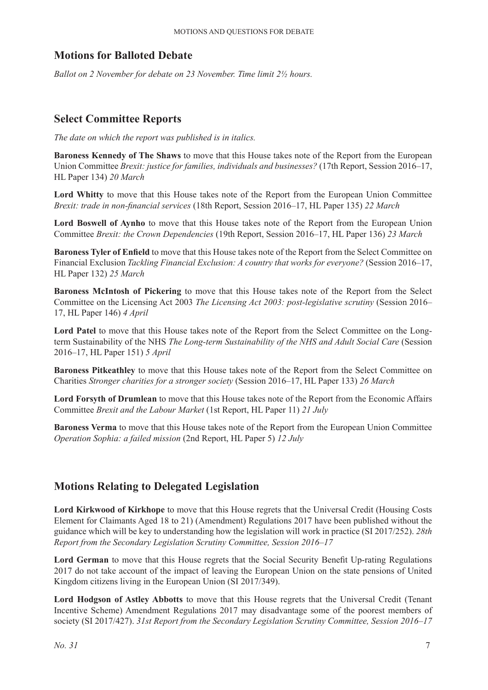# **Motions for Balloted Debate**

*Ballot on 2 November for debate on 23 November. Time limit 2½ hours.*

# **Select Committee Reports**

*The date on which the report was published is in italics.*

**Baroness Kennedy of The Shaws** to move that this House takes note of the Report from the European Union Committee *Brexit: justice for families, individuals and businesses?* (17th Report, Session 2016–17, HL Paper 134) *20 March*

**Lord Whitty** to move that this House takes note of the Report from the European Union Committee *Brexit: trade in non-financial services* (18th Report, Session 2016–17, HL Paper 135) *22 March*

**Lord Boswell of Aynho** to move that this House takes note of the Report from the European Union Committee *Brexit: the Crown Dependencies* (19th Report, Session 2016–17, HL Paper 136) *23 March*

**Baroness Tyler of Enfield** to move that this House takes note of the Report from the Select Committee on Financial Exclusion *Tackling Financial Exclusion: A country that works for everyone?* (Session 2016–17, HL Paper 132) *25 March*

**Baroness McIntosh of Pickering** to move that this House takes note of the Report from the Select Committee on the Licensing Act 2003 *The Licensing Act 2003: post-legislative scrutiny* (Session 2016– 17, HL Paper 146) *4 April*

**Lord Patel** to move that this House takes note of the Report from the Select Committee on the Longterm Sustainability of the NHS *The Long-term Sustainability of the NHS and Adult Social Care* (Session 2016–17, HL Paper 151) *5 April*

**Baroness Pitkeathley** to move that this House takes note of the Report from the Select Committee on Charities *Stronger charities for a stronger society* (Session 2016–17, HL Paper 133) *26 March*

**Lord Forsyth of Drumlean** to move that this House takes note of the Report from the Economic Affairs Committee *Brexit and the Labour Market* (1st Report, HL Paper 11) *21 July*

**Baroness Verma** to move that this House takes note of the Report from the European Union Committee *Operation Sophia: a failed mission* (2nd Report, HL Paper 5) *12 July*

# **Motions Relating to Delegated Legislation**

**Lord Kirkwood of Kirkhope** to move that this House regrets that the Universal Credit (Housing Costs Element for Claimants Aged 18 to 21) (Amendment) Regulations 2017 have been published without the guidance which will be key to understanding how the legislation will work in practice (SI 2017/252). *28th Report from the Secondary Legislation Scrutiny Committee, Session 2016–17*

Lord German to move that this House regrets that the Social Security Benefit Up-rating Regulations 2017 do not take account of the impact of leaving the European Union on the state pensions of United Kingdom citizens living in the European Union (SI 2017/349).

Lord Hodgson of Astley Abbotts to move that this House regrets that the Universal Credit (Tenant Incentive Scheme) Amendment Regulations 2017 may disadvantage some of the poorest members of society (SI 2017/427). *31st Report from the Secondary Legislation Scrutiny Committee, Session 2016–17*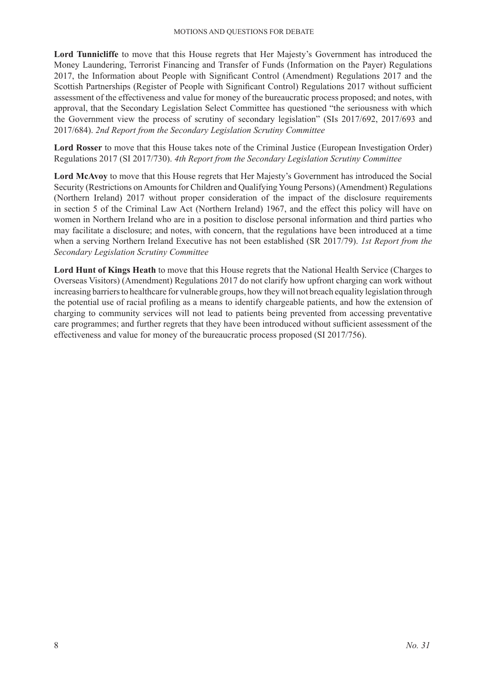**Lord Tunnicliffe** to move that this House regrets that Her Majesty's Government has introduced the Money Laundering, Terrorist Financing and Transfer of Funds (Information on the Payer) Regulations 2017, the Information about People with Significant Control (Amendment) Regulations 2017 and the Scottish Partnerships (Register of People with Significant Control) Regulations 2017 without sufficient assessment of the effectiveness and value for money of the bureaucratic process proposed; and notes, with approval, that the Secondary Legislation Select Committee has questioned "the seriousness with which the Government view the process of scrutiny of secondary legislation" (SIs 2017/692, 2017/693 and 2017/684). *2nd Report from the Secondary Legislation Scrutiny Committee*

**Lord Rosser** to move that this House takes note of the Criminal Justice (European Investigation Order) Regulations 2017 (SI 2017/730). *4th Report from the Secondary Legislation Scrutiny Committee*

**Lord McAvoy** to move that this House regrets that Her Majesty's Government has introduced the Social Security (Restrictions on Amounts for Children and Qualifying Young Persons) (Amendment) Regulations (Northern Ireland) 2017 without proper consideration of the impact of the disclosure requirements in section 5 of the Criminal Law Act (Northern Ireland) 1967, and the effect this policy will have on women in Northern Ireland who are in a position to disclose personal information and third parties who may facilitate a disclosure; and notes, with concern, that the regulations have been introduced at a time when a serving Northern Ireland Executive has not been established (SR 2017/79). *1st Report from the Secondary Legislation Scrutiny Committee*

**Lord Hunt of Kings Heath** to move that this House regrets that the National Health Service (Charges to Overseas Visitors) (Amendment) Regulations 2017 do not clarify how upfront charging can work without increasing barriers to healthcare for vulnerable groups, how they will not breach equality legislation through the potential use of racial profiling as a means to identify chargeable patients, and how the extension of charging to community services will not lead to patients being prevented from accessing preventative care programmes; and further regrets that they have been introduced without sufficient assessment of the effectiveness and value for money of the bureaucratic process proposed (SI 2017/756).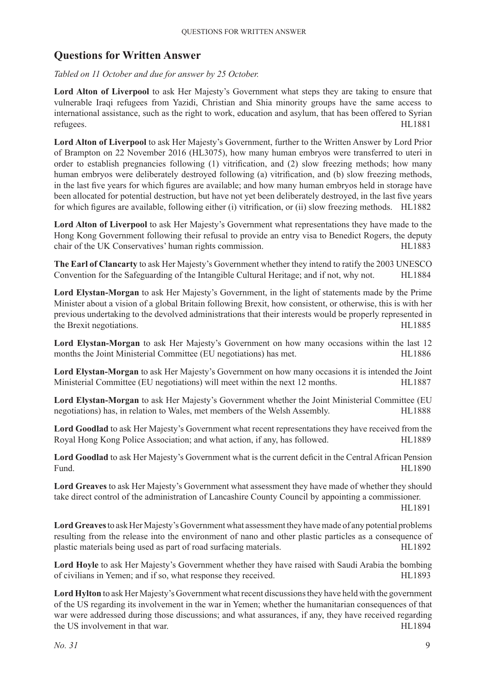# **Questions for Written Answer**

*Tabled on 11 October and due for answer by 25 October.*

**Lord Alton of Liverpool** to ask Her Majesty's Government what steps they are taking to ensure that vulnerable Iraqi refugees from Yazidi, Christian and Shia minority groups have the same access to international assistance, such as the right to work, education and asylum, that has been offered to Syrian refugees. HL1881

**Lord Alton of Liverpool** to ask Her Majesty's Government, further to the Written Answer by Lord Prior of Brampton on 22 November 2016 (HL3075), how many human embryos were transferred to uteri in order to establish pregnancies following (1) vitrification, and (2) slow freezing methods; how many human embryos were deliberately destroyed following (a) vitrification, and (b) slow freezing methods, in the last five years for which figures are available; and how many human embryos held in storage have been allocated for potential destruction, but have not yet been deliberately destroyed, in the last five years for which figures are available, following either (i) vitrification, or (ii) slow freezing methods. HL1882

**Lord Alton of Liverpool** to ask Her Majesty's Government what representations they have made to the Hong Kong Government following their refusal to provide an entry visa to Benedict Rogers, the deputy chair of the UK Conservatives' human rights commission. HL1883

**The Earl of Clancarty** to ask Her Majesty's Government whether they intend to ratify the 2003 UNESCO Convention for the Safeguarding of the Intangible Cultural Heritage; and if not, why not. HL1884

**Lord Elystan-Morgan** to ask Her Majesty's Government, in the light of statements made by the Prime Minister about a vision of a global Britain following Brexit, how consistent, or otherwise, this is with her previous undertaking to the devolved administrations that their interests would be properly represented in the Brexit negotiations. HL1885

**Lord Elystan-Morgan** to ask Her Majesty's Government on how many occasions within the last 12 months the Joint Ministerial Committee (EU negotiations) has met. HL1886

**Lord Elystan-Morgan** to ask Her Majesty's Government on how many occasions it is intended the Joint Ministerial Committee (EU negotiations) will meet within the next 12 months. HL1887

**Lord Elystan-Morgan** to ask Her Majesty's Government whether the Joint Ministerial Committee (EU negotiations) has, in relation to Wales, met members of the Welsh Assembly. HL1888

**Lord Goodlad** to ask Her Majesty's Government what recent representations they have received from the Royal Hong Kong Police Association; and what action, if any, has followed. HL1889

**Lord Goodlad** to ask Her Majesty's Government what is the current deficit in the Central African Pension Fund. HL1890

**Lord Greaves** to ask Her Majesty's Government what assessment they have made of whether they should take direct control of the administration of Lancashire County Council by appointing a commissioner.

HL1891

Lord Greaves to ask Her Majesty's Government what assessment they have made of any potential problems resulting from the release into the environment of nano and other plastic particles as a consequence of plastic materials being used as part of road surfacing materials. HL1892

**Lord Hoyle** to ask Her Majesty's Government whether they have raised with Saudi Arabia the bombing of civilians in Yemen; and if so, what response they received. HL1893

**Lord Hylton** to ask Her Majesty's Government what recent discussions they have held with the government of the US regarding its involvement in the war in Yemen; whether the humanitarian consequences of that war were addressed during those discussions; and what assurances, if any, they have received regarding the US involvement in that war. HL1894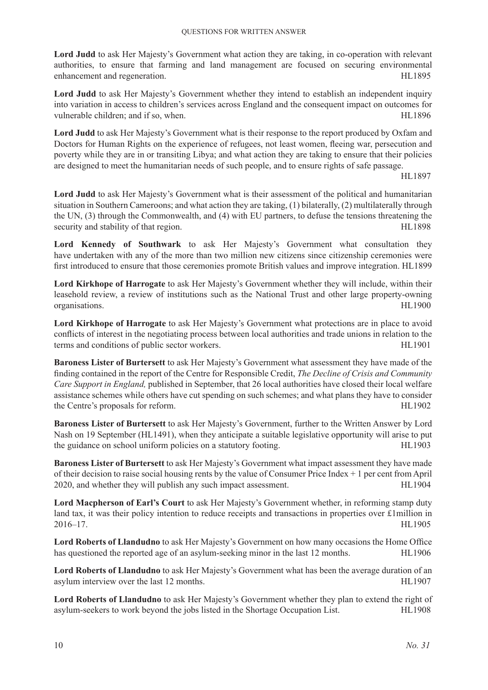**Lord Judd** to ask Her Majesty's Government what action they are taking, in co-operation with relevant authorities, to ensure that farming and land management are focused on securing environmental enhancement and regeneration. HL1895

Lord Judd to ask Her Majesty's Government whether they intend to establish an independent inquiry into variation in access to children's services across England and the consequent impact on outcomes for vulnerable children; and if so, when. HL1896

**Lord Judd** to ask Her Majesty's Government what is their response to the report produced by Oxfam and Doctors for Human Rights on the experience of refugees, not least women, fleeing war, persecution and poverty while they are in or transiting Libya; and what action they are taking to ensure that their policies are designed to meet the humanitarian needs of such people, and to ensure rights of safe passage.

HL1897

**Lord Judd** to ask Her Majesty's Government what is their assessment of the political and humanitarian situation in Southern Cameroons; and what action they are taking, (1) bilaterally, (2) multilaterally through the UN, (3) through the Commonwealth, and (4) with EU partners, to defuse the tensions threatening the security and stability of that region. HL1898

**Lord Kennedy of Southwark** to ask Her Majesty's Government what consultation they have undertaken with any of the more than two million new citizens since citizenship ceremonies were first introduced to ensure that those ceremonies promote British values and improve integration. HL1899

**Lord Kirkhope of Harrogate** to ask Her Majesty's Government whether they will include, within their leasehold review, a review of institutions such as the National Trust and other large property-owning organisations. HL1900

**Lord Kirkhope of Harrogate** to ask Her Majesty's Government what protections are in place to avoid conflicts of interest in the negotiating process between local authorities and trade unions in relation to the terms and conditions of public sector workers. HL1901

**Baroness Lister of Burtersett** to ask Her Majesty's Government what assessment they have made of the finding contained in the report of the Centre for Responsible Credit, *The Decline of Crisis and Community Care Support in England,* published in September, that 26 local authorities have closed their local welfare assistance schemes while others have cut spending on such schemes; and what plans they have to consider the Centre's proposals for reform. HL1902

**Baroness Lister of Burtersett** to ask Her Majesty's Government, further to the Written Answer by Lord Nash on 19 September (HL1491), when they anticipate a suitable legislative opportunity will arise to put the guidance on school uniform policies on a statutory footing. HL1903

**Baroness Lister of Burtersett** to ask Her Majesty's Government what impact assessment they have made of their decision to raise social housing rents by the value of Consumer Price Index + 1 per cent from April 2020, and whether they will publish any such impact assessment. HL1904

**Lord Macpherson of Earl's Court** to ask Her Majesty's Government whether, in reforming stamp duty land tax, it was their policy intention to reduce receipts and transactions in properties over £1million in 2016–17. HL1905

**Lord Roberts of Llandudno** to ask Her Majesty's Government on how many occasions the Home Office has questioned the reported age of an asylum-seeking minor in the last 12 months. HL1906

**Lord Roberts of Llandudno** to ask Her Majesty's Government what has been the average duration of an asylum interview over the last 12 months. HL1907

**Lord Roberts of Llandudno** to ask Her Majesty's Government whether they plan to extend the right of asylum-seekers to work beyond the jobs listed in the Shortage Occupation List. HL1908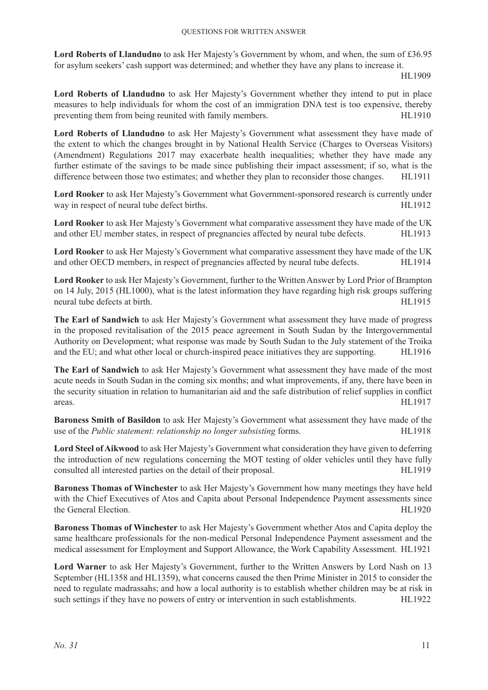**Lord Roberts of Llandudno** to ask Her Majesty's Government by whom, and when, the sum of £36.95 for asylum seekers' cash support was determined; and whether they have any plans to increase it.

HL1909

**Lord Roberts of Llandudno** to ask Her Majesty's Government whether they intend to put in place measures to help individuals for whom the cost of an immigration DNA test is too expensive, thereby preventing them from being reunited with family members. HL1910

**Lord Roberts of Llandudno** to ask Her Majesty's Government what assessment they have made of the extent to which the changes brought in by National Health Service (Charges to Overseas Visitors) (Amendment) Regulations 2017 may exacerbate health inequalities; whether they have made any further estimate of the savings to be made since publishing their impact assessment; if so, what is the difference between those two estimates; and whether they plan to reconsider those changes. HL1911

**Lord Rooker** to ask Her Majesty's Government what Government-sponsored research is currently under way in respect of neural tube defect births. HL1912

**Lord Rooker** to ask Her Majesty's Government what comparative assessment they have made of the UK and other EU member states, in respect of pregnancies affected by neural tube defects. HL1913

**Lord Rooker** to ask Her Majesty's Government what comparative assessment they have made of the UK and other OECD members, in respect of pregnancies affected by neural tube defects. HL1914

**Lord Rooker** to ask Her Majesty's Government, further to the Written Answer by Lord Prior of Brampton on 14 July, 2015 (HL1000), what is the latest information they have regarding high risk groups suffering neural tube defects at birth. HL1915

**The Earl of Sandwich** to ask Her Majesty's Government what assessment they have made of progress in the proposed revitalisation of the 2015 peace agreement in South Sudan by the Intergovernmental Authority on Development; what response was made by South Sudan to the July statement of the Troika and the EU; and what other local or church-inspired peace initiatives they are supporting. HL1916

**The Earl of Sandwich** to ask Her Majesty's Government what assessment they have made of the most acute needs in South Sudan in the coming six months; and what improvements, if any, there have been in the security situation in relation to humanitarian aid and the safe distribution of relief supplies in conflict areas. HL1917

**Baroness Smith of Basildon** to ask Her Majesty's Government what assessment they have made of the use of the *Public statement: relationship no longer subsisting* forms. HL1918

**Lord Steel of Aikwood** to ask Her Majesty's Government what consideration they have given to deferring the introduction of new regulations concerning the MOT testing of older vehicles until they have fully consulted all interested parties on the detail of their proposal. HL1919

**Baroness Thomas of Winchester** to ask Her Majesty's Government how many meetings they have held with the Chief Executives of Atos and Capita about Personal Independence Payment assessments since the General Election. HL1920

**Baroness Thomas of Winchester** to ask Her Majesty's Government whether Atos and Capita deploy the same healthcare professionals for the non-medical Personal Independence Payment assessment and the medical assessment for Employment and Support Allowance, the Work Capability Assessment. HL1921

**Lord Warner** to ask Her Majesty's Government, further to the Written Answers by Lord Nash on 13 September (HL1358 and HL1359), what concerns caused the then Prime Minister in 2015 to consider the need to regulate madrassahs; and how a local authority is to establish whether children may be at risk in such settings if they have no powers of entry or intervention in such establishments. HL1922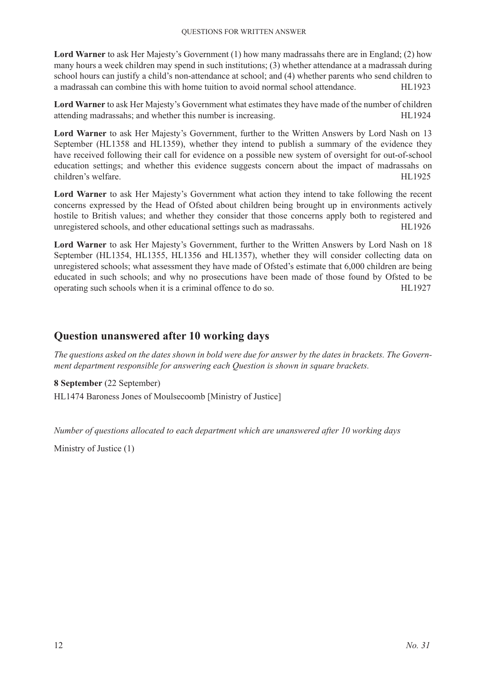**Lord Warner** to ask Her Majesty's Government (1) how many madrassahs there are in England; (2) how many hours a week children may spend in such institutions; (3) whether attendance at a madrassah during school hours can justify a child's non-attendance at school; and (4) whether parents who send children to a madrassah can combine this with home tuition to avoid normal school attendance. HL1923

**Lord Warner** to ask Her Majesty's Government what estimates they have made of the number of children attending madrassahs; and whether this number is increasing. HL1924

**Lord Warner** to ask Her Majesty's Government, further to the Written Answers by Lord Nash on 13 September (HL1358 and HL1359), whether they intend to publish a summary of the evidence they have received following their call for evidence on a possible new system of oversight for out-of-school education settings; and whether this evidence suggests concern about the impact of madrassahs on children's welfare. HL1925

**Lord Warner** to ask Her Majesty's Government what action they intend to take following the recent concerns expressed by the Head of Ofsted about children being brought up in environments actively hostile to British values; and whether they consider that those concerns apply both to registered and unregistered schools, and other educational settings such as madrassahs. HL1926

**Lord Warner** to ask Her Majesty's Government, further to the Written Answers by Lord Nash on 18 September (HL1354, HL1355, HL1356 and HL1357), whether they will consider collecting data on unregistered schools; what assessment they have made of Ofsted's estimate that 6,000 children are being educated in such schools; and why no prosecutions have been made of those found by Ofsted to be operating such schools when it is a criminal offence to do so. HL1927

# **Question unanswered after 10 working days**

*The questions asked on the dates shown in bold were due for answer by the dates in brackets. The Government department responsible for answering each Question is shown in square brackets.*

**8 September** (22 September) HL1474 Baroness Jones of Moulsecoomb [Ministry of Justice]

*Number of questions allocated to each department which are unanswered after 10 working days*

Ministry of Justice (1)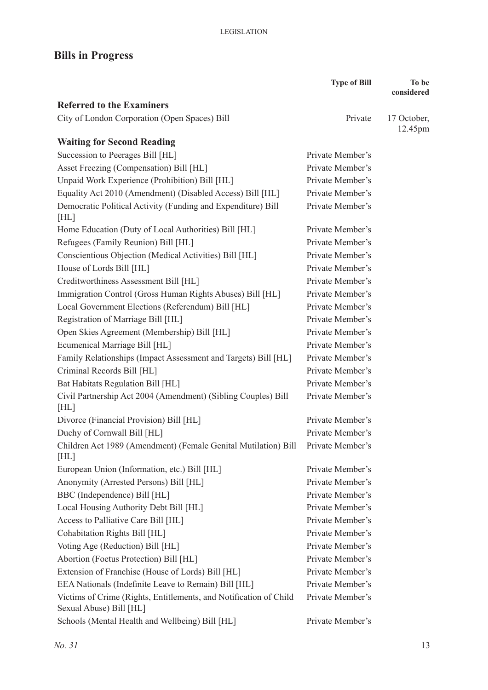# **Bills in Progress**

|                                                                                              | <b>Type of Bill</b> | To be                  |
|----------------------------------------------------------------------------------------------|---------------------|------------------------|
|                                                                                              |                     | considered             |
| <b>Referred to the Examiners</b>                                                             |                     |                        |
| City of London Corporation (Open Spaces) Bill                                                | Private             | 17 October,<br>12.45pm |
| <b>Waiting for Second Reading</b>                                                            |                     |                        |
| Succession to Peerages Bill [HL]                                                             | Private Member's    |                        |
| Asset Freezing (Compensation) Bill [HL]                                                      | Private Member's    |                        |
| Unpaid Work Experience (Prohibition) Bill [HL]                                               | Private Member's    |                        |
| Equality Act 2010 (Amendment) (Disabled Access) Bill [HL]                                    | Private Member's    |                        |
| Democratic Political Activity (Funding and Expenditure) Bill<br>[HL]                         | Private Member's    |                        |
| Home Education (Duty of Local Authorities) Bill [HL]                                         | Private Member's    |                        |
| Refugees (Family Reunion) Bill [HL]                                                          | Private Member's    |                        |
| Conscientious Objection (Medical Activities) Bill [HL]                                       | Private Member's    |                        |
| House of Lords Bill [HL]                                                                     | Private Member's    |                        |
| Creditworthiness Assessment Bill [HL]                                                        | Private Member's    |                        |
| Immigration Control (Gross Human Rights Abuses) Bill [HL]                                    | Private Member's    |                        |
| Local Government Elections (Referendum) Bill [HL]                                            | Private Member's    |                        |
| Registration of Marriage Bill [HL]                                                           | Private Member's    |                        |
| Open Skies Agreement (Membership) Bill [HL]                                                  | Private Member's    |                        |
| Ecumenical Marriage Bill [HL]                                                                | Private Member's    |                        |
| Family Relationships (Impact Assessment and Targets) Bill [HL]                               | Private Member's    |                        |
| Criminal Records Bill [HL]                                                                   | Private Member's    |                        |
| Bat Habitats Regulation Bill [HL]                                                            | Private Member's    |                        |
| Civil Partnership Act 2004 (Amendment) (Sibling Couples) Bill<br>[HL]                        | Private Member's    |                        |
| Divorce (Financial Provision) Bill [HL]                                                      | Private Member's    |                        |
| Duchy of Cornwall Bill [HL]                                                                  | Private Member's    |                        |
| Children Act 1989 (Amendment) (Female Genital Mutilation) Bill Private Member's<br>[HL]      |                     |                        |
| European Union (Information, etc.) Bill [HL]                                                 | Private Member's    |                        |
| Anonymity (Arrested Persons) Bill [HL]                                                       | Private Member's    |                        |
| BBC (Independence) Bill [HL]                                                                 | Private Member's    |                        |
| Local Housing Authority Debt Bill [HL]                                                       | Private Member's    |                        |
| Access to Palliative Care Bill [HL]                                                          | Private Member's    |                        |
| Cohabitation Rights Bill [HL]                                                                | Private Member's    |                        |
| Voting Age (Reduction) Bill [HL]                                                             | Private Member's    |                        |
| Abortion (Foetus Protection) Bill [HL]                                                       | Private Member's    |                        |
| Extension of Franchise (House of Lords) Bill [HL]                                            | Private Member's    |                        |
| EEA Nationals (Indefinite Leave to Remain) Bill [HL]                                         | Private Member's    |                        |
| Victims of Crime (Rights, Entitlements, and Notification of Child<br>Sexual Abuse) Bill [HL] | Private Member's    |                        |
| Schools (Mental Health and Wellbeing) Bill [HL]                                              | Private Member's    |                        |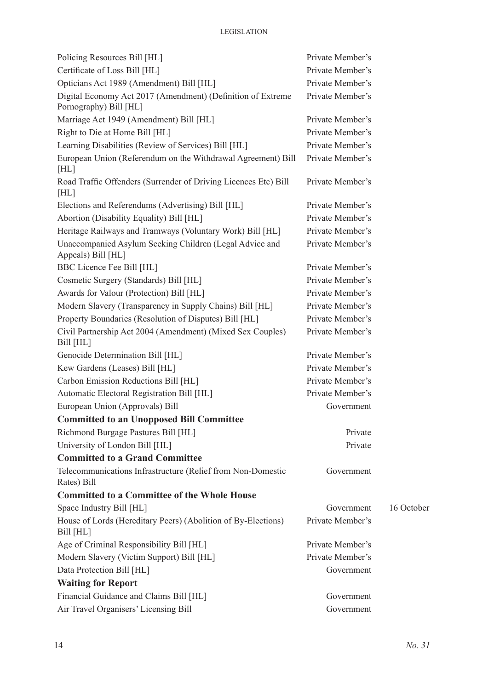| Policing Resources Bill [HL]                                                          | Private Member's |            |
|---------------------------------------------------------------------------------------|------------------|------------|
| Certificate of Loss Bill [HL]                                                         | Private Member's |            |
| Opticians Act 1989 (Amendment) Bill [HL]                                              | Private Member's |            |
| Digital Economy Act 2017 (Amendment) (Definition of Extreme<br>Pornography) Bill [HL] | Private Member's |            |
| Marriage Act 1949 (Amendment) Bill [HL]                                               | Private Member's |            |
| Right to Die at Home Bill [HL]                                                        | Private Member's |            |
| Learning Disabilities (Review of Services) Bill [HL]                                  | Private Member's |            |
| European Union (Referendum on the Withdrawal Agreement) Bill<br>[HL]                  | Private Member's |            |
| Road Traffic Offenders (Surrender of Driving Licences Etc) Bill<br>[HL]               | Private Member's |            |
| Elections and Referendums (Advertising) Bill [HL]                                     | Private Member's |            |
| Abortion (Disability Equality) Bill [HL]                                              | Private Member's |            |
| Heritage Railways and Tramways (Voluntary Work) Bill [HL]                             | Private Member's |            |
| Unaccompanied Asylum Seeking Children (Legal Advice and<br>Appeals) Bill [HL]         | Private Member's |            |
| BBC Licence Fee Bill [HL]                                                             | Private Member's |            |
| Cosmetic Surgery (Standards) Bill [HL]                                                | Private Member's |            |
| Awards for Valour (Protection) Bill [HL]                                              | Private Member's |            |
| Modern Slavery (Transparency in Supply Chains) Bill [HL]                              | Private Member's |            |
| Property Boundaries (Resolution of Disputes) Bill [HL]                                | Private Member's |            |
| Civil Partnership Act 2004 (Amendment) (Mixed Sex Couples)<br>Bill [HL]               | Private Member's |            |
| Genocide Determination Bill [HL]                                                      | Private Member's |            |
| Kew Gardens (Leases) Bill [HL]                                                        | Private Member's |            |
| Carbon Emission Reductions Bill [HL]                                                  | Private Member's |            |
| Automatic Electoral Registration Bill [HL]                                            | Private Member's |            |
| European Union (Approvals) Bill                                                       | Government       |            |
| <b>Committed to an Unopposed Bill Committee</b>                                       |                  |            |
| Richmond Burgage Pastures Bill [HL]                                                   | Private          |            |
| University of London Bill [HL]                                                        | Private          |            |
| <b>Committed to a Grand Committee</b>                                                 |                  |            |
| Telecommunications Infrastructure (Relief from Non-Domestic<br>Rates) Bill            | Government       |            |
| <b>Committed to a Committee of the Whole House</b>                                    |                  |            |
| Space Industry Bill [HL]                                                              | Government       | 16 October |
| House of Lords (Hereditary Peers) (Abolition of By-Elections)<br>Bill [HL]            | Private Member's |            |
| Age of Criminal Responsibility Bill [HL]                                              | Private Member's |            |
| Modern Slavery (Victim Support) Bill [HL]                                             | Private Member's |            |
| Data Protection Bill [HL]                                                             | Government       |            |
| <b>Waiting for Report</b>                                                             |                  |            |
| Financial Guidance and Claims Bill [HL]                                               | Government       |            |
| Air Travel Organisers' Licensing Bill                                                 | Government       |            |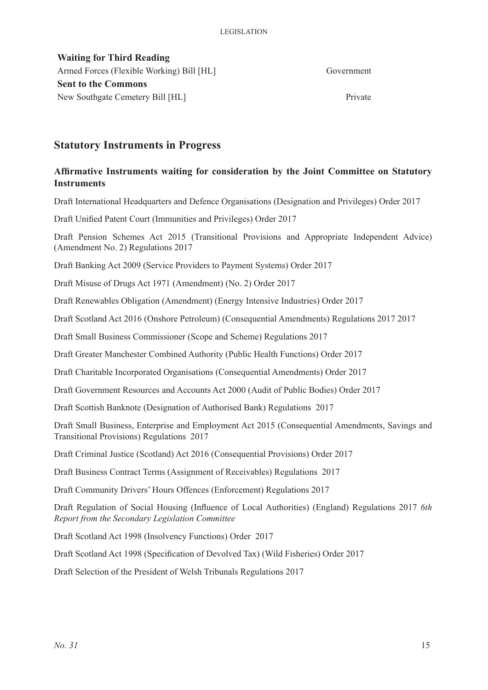**Waiting for Third Reading** Armed Forces (Flexible Working) Bill [HL] Government **Sent to the Commons** New Southgate Cemetery Bill [HL] Private

# **Statutory Instruments in Progress**

## **Affirmative Instruments waiting for consideration by the Joint Committee on Statutory Instruments**

Draft International Headquarters and Defence Organisations (Designation and Privileges) Order 2017

Draft Unified Patent Court (Immunities and Privileges) Order 2017

Draft Pension Schemes Act 2015 (Transitional Provisions and Appropriate Independent Advice) (Amendment No. 2) Regulations 2017

Draft Banking Act 2009 (Service Providers to Payment Systems) Order 2017

Draft Misuse of Drugs Act 1971 (Amendment) (No. 2) Order 2017

Draft Renewables Obligation (Amendment) (Energy Intensive Industries) Order 2017

Draft Scotland Act 2016 (Onshore Petroleum) (Consequential Amendments) Regulations 2017 2017

Draft Small Business Commissioner (Scope and Scheme) Regulations 2017

Draft Greater Manchester Combined Authority (Public Health Functions) Order 2017

Draft Charitable Incorporated Organisations (Consequential Amendments) Order 2017

Draft Government Resources and Accounts Act 2000 (Audit of Public Bodies) Order 2017

Draft Scottish Banknote (Designation of Authorised Bank) Regulations 2017

Draft Small Business, Enterprise and Employment Act 2015 (Consequential Amendments, Savings and Transitional Provisions) Regulations 2017

Draft Criminal Justice (Scotland) Act 2016 (Consequential Provisions) Order 2017

Draft Business Contract Terms (Assignment of Receivables) Regulations 2017

Draft Community Drivers' Hours Offences (Enforcement) Regulations 2017

Draft Regulation of Social Housing (Influence of Local Authorities) (England) Regulations 2017 *6th Report from the Secondary Legislation Committee*

Draft Scotland Act 1998 (Insolvency Functions) Order 2017

Draft Scotland Act 1998 (Specification of Devolved Tax) (Wild Fisheries) Order 2017

Draft Selection of the President of Welsh Tribunals Regulations 2017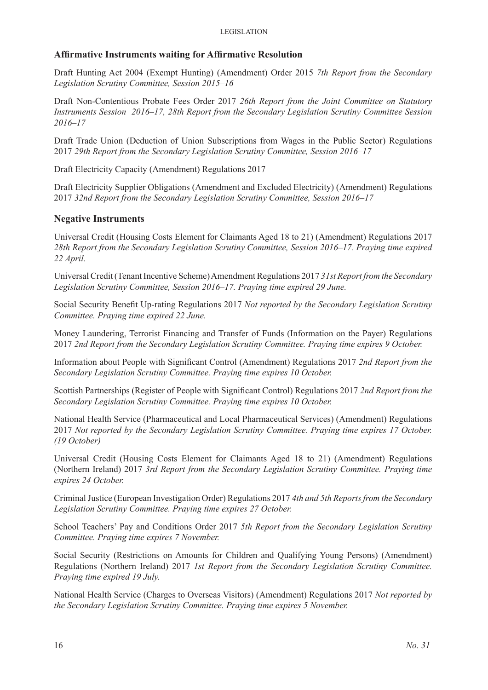## **Affirmative Instruments waiting for Affirmative Resolution**

Draft Hunting Act 2004 (Exempt Hunting) (Amendment) Order 2015 *7th Report from the Secondary Legislation Scrutiny Committee, Session 2015–16*

Draft Non-Contentious Probate Fees Order 2017 *26th Report from the Joint Committee on Statutory Instruments Session 2016–17, 28th Report from the Secondary Legislation Scrutiny Committee Session 2016–17*

Draft Trade Union (Deduction of Union Subscriptions from Wages in the Public Sector) Regulations 2017 *29th Report from the Secondary Legislation Scrutiny Committee, Session 2016–17*

Draft Electricity Capacity (Amendment) Regulations 2017

Draft Electricity Supplier Obligations (Amendment and Excluded Electricity) (Amendment) Regulations 2017 *32nd Report from the Secondary Legislation Scrutiny Committee, Session 2016–17*

## **Negative Instruments**

Universal Credit (Housing Costs Element for Claimants Aged 18 to 21) (Amendment) Regulations 2017 *28th Report from the Secondary Legislation Scrutiny Committee, Session 2016–17. Praying time expired 22 April.* 

Universal Credit (Tenant Incentive Scheme) Amendment Regulations 2017 *31st Report from the Secondary Legislation Scrutiny Committee, Session 2016–17. Praying time expired 29 June.* 

Social Security Benefit Up-rating Regulations 2017 *Not reported by the Secondary Legislation Scrutiny Committee. Praying time expired 22 June.*

Money Laundering, Terrorist Financing and Transfer of Funds (Information on the Payer) Regulations 2017 *2nd Report from the Secondary Legislation Scrutiny Committee. Praying time expires 9 October.* 

Information about People with Significant Control (Amendment) Regulations 2017 *2nd Report from the Secondary Legislation Scrutiny Committee. Praying time expires 10 October.* 

Scottish Partnerships (Register of People with Significant Control) Regulations 2017 *2nd Report from the Secondary Legislation Scrutiny Committee. Praying time expires 10 October.* 

National Health Service (Pharmaceutical and Local Pharmaceutical Services) (Amendment) Regulations 2017 *Not reported by the Secondary Legislation Scrutiny Committee. Praying time expires 17 October. (19 October)*

Universal Credit (Housing Costs Element for Claimants Aged 18 to 21) (Amendment) Regulations (Northern Ireland) 2017 *3rd Report from the Secondary Legislation Scrutiny Committee. Praying time expires 24 October.* 

Criminal Justice (European Investigation Order) Regulations 2017 *4th and 5th Reports from the Secondary Legislation Scrutiny Committee. Praying time expires 27 October.* 

School Teachers' Pay and Conditions Order 2017 *5th Report from the Secondary Legislation Scrutiny Committee. Praying time expires 7 November.* 

Social Security (Restrictions on Amounts for Children and Qualifying Young Persons) (Amendment) Regulations (Northern Ireland) 2017 *1st Report from the Secondary Legislation Scrutiny Committee. Praying time expired 19 July.* 

National Health Service (Charges to Overseas Visitors) (Amendment) Regulations 2017 *Not reported by the Secondary Legislation Scrutiny Committee. Praying time expires 5 November.*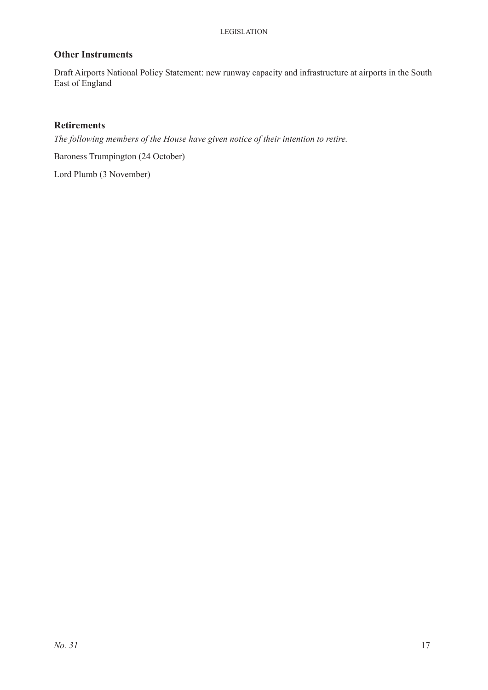## **Other Instruments**

Draft Airports National Policy Statement: new runway capacity and infrastructure at airports in the South East of England

## **Retirements**

*The following members of the House have given notice of their intention to retire.*

Baroness Trumpington (24 October)

Lord Plumb (3 November)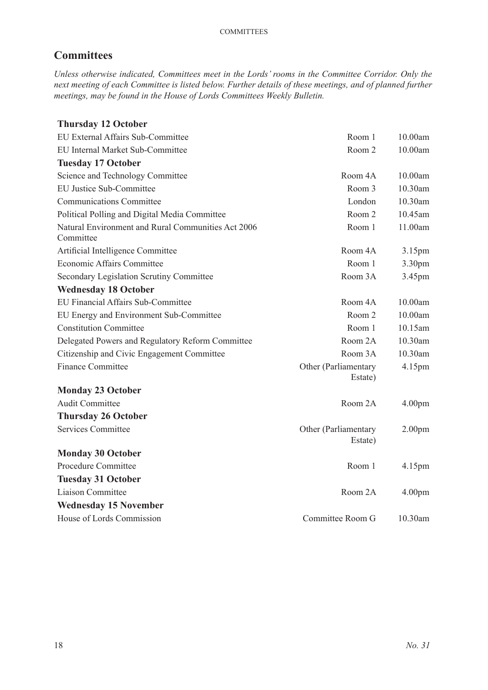# **Committees**

*Unless otherwise indicated, Committees meet in the Lords' rooms in the Committee Corridor. Only the next meeting of each Committee is listed below. Further details of these meetings, and of planned further meetings, may be found in the House of Lords Committees Weekly Bulletin.*

# **Thursday 12 October**

| EU External Affairs Sub-Committee                               | Room 1                          | 10.00am            |
|-----------------------------------------------------------------|---------------------------------|--------------------|
| EU Internal Market Sub-Committee                                | Room 2                          | 10.00am            |
| <b>Tuesday 17 October</b>                                       |                                 |                    |
| Science and Technology Committee                                | Room 4A                         | 10.00am            |
| <b>EU Justice Sub-Committee</b>                                 | Room 3                          | 10.30am            |
| <b>Communications Committee</b>                                 | London                          | 10.30am            |
| Political Polling and Digital Media Committee                   | Room 2                          | 10.45am            |
| Natural Environment and Rural Communities Act 2006<br>Committee | Room 1                          | 11.00am            |
| Artificial Intelligence Committee                               | Room 4A                         | 3.15pm             |
| <b>Economic Affairs Committee</b>                               | Room 1                          | 3.30pm             |
| Secondary Legislation Scrutiny Committee                        | Room 3A                         | 3.45pm             |
| <b>Wednesday 18 October</b>                                     |                                 |                    |
| EU Financial Affairs Sub-Committee                              | Room 4A                         | 10.00am            |
| EU Energy and Environment Sub-Committee                         | Room 2                          | 10.00am            |
| <b>Constitution Committee</b>                                   | Room 1                          | 10.15am            |
| Delegated Powers and Regulatory Reform Committee                | Room 2A                         | 10.30am            |
| Citizenship and Civic Engagement Committee                      | Room 3A                         | 10.30am            |
| <b>Finance Committee</b>                                        | Other (Parliamentary<br>Estate) | 4.15pm             |
| <b>Monday 23 October</b>                                        |                                 |                    |
| <b>Audit Committee</b>                                          | Room 2A                         | 4.00pm             |
| <b>Thursday 26 October</b>                                      |                                 |                    |
| <b>Services Committee</b>                                       | Other (Parliamentary<br>Estate) | 2.00 <sub>pm</sub> |
| <b>Monday 30 October</b>                                        |                                 |                    |
| Procedure Committee                                             | Room 1                          | 4.15pm             |
| <b>Tuesday 31 October</b>                                       |                                 |                    |
| Liaison Committee                                               | Room 2A                         | 4.00 <sub>pm</sub> |
| <b>Wednesday 15 November</b>                                    |                                 |                    |
| House of Lords Commission                                       | Committee Room G                | 10.30am            |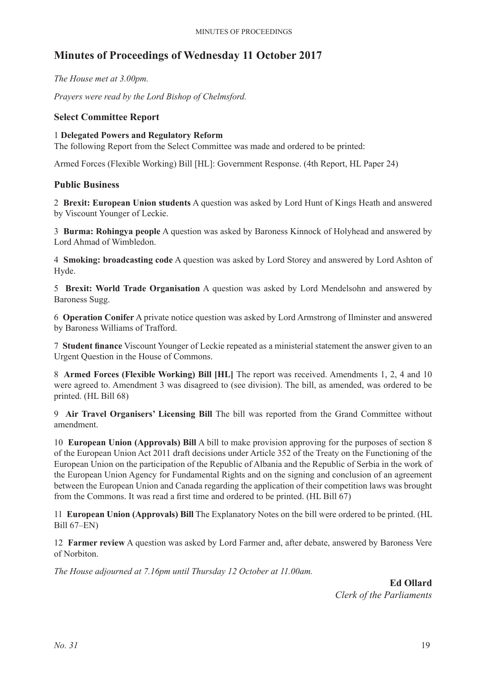# **Minutes of Proceedings of Wednesday 11 October 2017**

*The House met at 3.00pm.*

*Prayers were read by the Lord Bishop of Chelmsford.*

## **Select Committee Report**

#### 1 **Delegated Powers and Regulatory Reform**

The following Report from the Select Committee was made and ordered to be printed:

Armed Forces (Flexible Working) Bill [HL]: Government Response. (4th Report, HL Paper 24)

## **Public Business**

2 **Brexit: European Union students** A question was asked by Lord Hunt of Kings Heath and answered by Viscount Younger of Leckie.

3 **Burma: Rohingya people** A question was asked by Baroness Kinnock of Holyhead and answered by Lord Ahmad of Wimbledon.

4 **Smoking: broadcasting code** A question was asked by Lord Storey and answered by Lord Ashton of Hyde.

5 **Brexit: World Trade Organisation** A question was asked by Lord Mendelsohn and answered by Baroness Sugg.

6 **Operation Conifer** A private notice question was asked by Lord Armstrong of Ilminster and answered by Baroness Williams of Trafford.

7 **Student finance** Viscount Younger of Leckie repeated as a ministerial statement the answer given to an Urgent Question in the House of Commons.

8 **Armed Forces (Flexible Working) Bill [HL]** The report was received. Amendments 1, 2, 4 and 10 were agreed to. Amendment 3 was disagreed to (see division). The bill, as amended, was ordered to be printed. (HL Bill 68)

9 **Air Travel Organisers' Licensing Bill** The bill was reported from the Grand Committee without amendment.

10 **European Union (Approvals) Bill** A bill to make provision approving for the purposes of section 8 of the European Union Act 2011 draft decisions under Article 352 of the Treaty on the Functioning of the European Union on the participation of the Republic of Albania and the Republic of Serbia in the work of the European Union Agency for Fundamental Rights and on the signing and conclusion of an agreement between the European Union and Canada regarding the application of their competition laws was brought from the Commons. It was read a first time and ordered to be printed. (HL Bill 67)

11 **European Union (Approvals) Bill** The Explanatory Notes on the bill were ordered to be printed. (HL Bill 67–EN)

12 **Farmer review** A question was asked by Lord Farmer and, after debate, answered by Baroness Vere of Norbiton.

*The House adjourned at 7.16pm until Thursday 12 October at 11.00am.*

**Ed Ollard** *Clerk of the Parliaments*